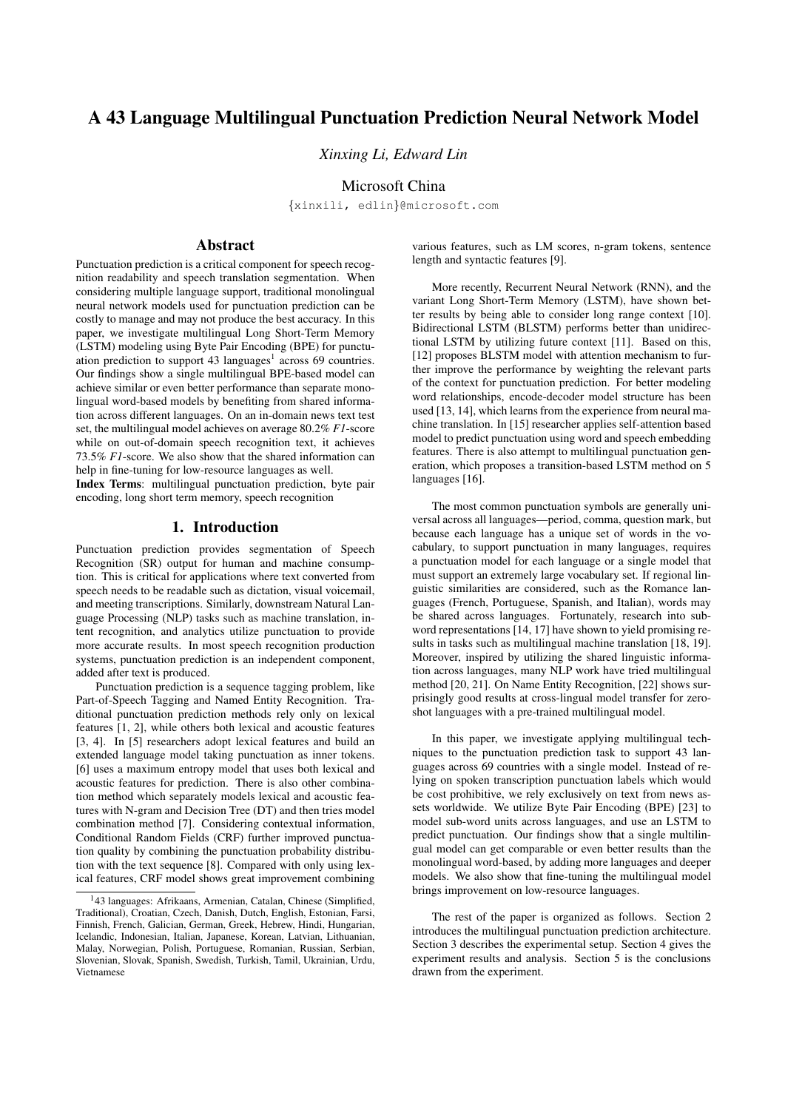# A 43 Language Multilingual Punctuation Prediction Neural Network Model

*Xinxing Li, Edward Lin*

Microsoft China

{xinxili, edlin}@microsoft.com

## Abstract

Punctuation prediction is a critical component for speech recognition readability and speech translation segmentation. When considering multiple language support, traditional monolingual neural network models used for punctuation prediction can be costly to manage and may not produce the best accuracy. In this paper, we investigate multilingual Long Short-Term Memory (LSTM) modeling using Byte Pair Encoding (BPE) for punctuation prediction to support 43 languages<sup>1</sup> across 69 countries. Our findings show a single multilingual BPE-based model can achieve similar or even better performance than separate monolingual word-based models by benefiting from shared information across different languages. On an in-domain news text test set, the multilingual model achieves on average 80.2% *F1*-score while on out-of-domain speech recognition text, it achieves 73.5% *F1*-score. We also show that the shared information can help in fine-tuning for low-resource languages as well.

Index Terms: multilingual punctuation prediction, byte pair encoding, long short term memory, speech recognition

## 1. Introduction

Punctuation prediction provides segmentation of Speech Recognition (SR) output for human and machine consumption. This is critical for applications where text converted from speech needs to be readable such as dictation, visual voicemail, and meeting transcriptions. Similarly, downstream Natural Language Processing (NLP) tasks such as machine translation, intent recognition, and analytics utilize punctuation to provide more accurate results. In most speech recognition production systems, punctuation prediction is an independent component, added after text is produced.

Punctuation prediction is a sequence tagging problem, like Part-of-Speech Tagging and Named Entity Recognition. Traditional punctuation prediction methods rely only on lexical features [1, 2], while others both lexical and acoustic features [3, 4]. In [5] researchers adopt lexical features and build an extended language model taking punctuation as inner tokens. [6] uses a maximum entropy model that uses both lexical and acoustic features for prediction. There is also other combination method which separately models lexical and acoustic features with N-gram and Decision Tree (DT) and then tries model combination method [7]. Considering contextual information, Conditional Random Fields (CRF) further improved punctuation quality by combining the punctuation probability distribution with the text sequence [8]. Compared with only using lexical features, CRF model shows great improvement combining

various features, such as LM scores, n-gram tokens, sentence length and syntactic features [9].

More recently, Recurrent Neural Network (RNN), and the variant Long Short-Term Memory (LSTM), have shown better results by being able to consider long range context [10]. Bidirectional LSTM (BLSTM) performs better than unidirectional LSTM by utilizing future context [11]. Based on this, [12] proposes BLSTM model with attention mechanism to further improve the performance by weighting the relevant parts of the context for punctuation prediction. For better modeling word relationships, encode-decoder model structure has been used [13, 14], which learns from the experience from neural machine translation. In [15] researcher applies self-attention based model to predict punctuation using word and speech embedding features. There is also attempt to multilingual punctuation generation, which proposes a transition-based LSTM method on 5 languages [16].

The most common punctuation symbols are generally universal across all languages—period, comma, question mark, but because each language has a unique set of words in the vocabulary, to support punctuation in many languages, requires a punctuation model for each language or a single model that must support an extremely large vocabulary set. If regional linguistic similarities are considered, such as the Romance languages (French, Portuguese, Spanish, and Italian), words may be shared across languages. Fortunately, research into subword representations [14, 17] have shown to yield promising results in tasks such as multilingual machine translation [18, 19]. Moreover, inspired by utilizing the shared linguistic information across languages, many NLP work have tried multilingual method [20, 21]. On Name Entity Recognition, [22] shows surprisingly good results at cross-lingual model transfer for zeroshot languages with a pre-trained multilingual model.

In this paper, we investigate applying multilingual techniques to the punctuation prediction task to support 43 languages across 69 countries with a single model. Instead of relying on spoken transcription punctuation labels which would be cost prohibitive, we rely exclusively on text from news assets worldwide. We utilize Byte Pair Encoding (BPE) [23] to model sub-word units across languages, and use an LSTM to predict punctuation. Our findings show that a single multilingual model can get comparable or even better results than the monolingual word-based, by adding more languages and deeper models. We also show that fine-tuning the multilingual model brings improvement on low-resource languages.

The rest of the paper is organized as follows. Section 2 introduces the multilingual punctuation prediction architecture. Section 3 describes the experimental setup. Section 4 gives the experiment results and analysis. Section 5 is the conclusions drawn from the experiment.

<sup>&</sup>lt;sup>1</sup>43 languages: Afrikaans, Armenian, Catalan, Chinese (Simplified, Traditional), Croatian, Czech, Danish, Dutch, English, Estonian, Farsi, Finnish, French, Galician, German, Greek, Hebrew, Hindi, Hungarian, Icelandic, Indonesian, Italian, Japanese, Korean, Latvian, Lithuanian, Malay, Norwegian, Polish, Portuguese, Romanian, Russian, Serbian, Slovenian, Slovak, Spanish, Swedish, Turkish, Tamil, Ukrainian, Urdu, Vietnamese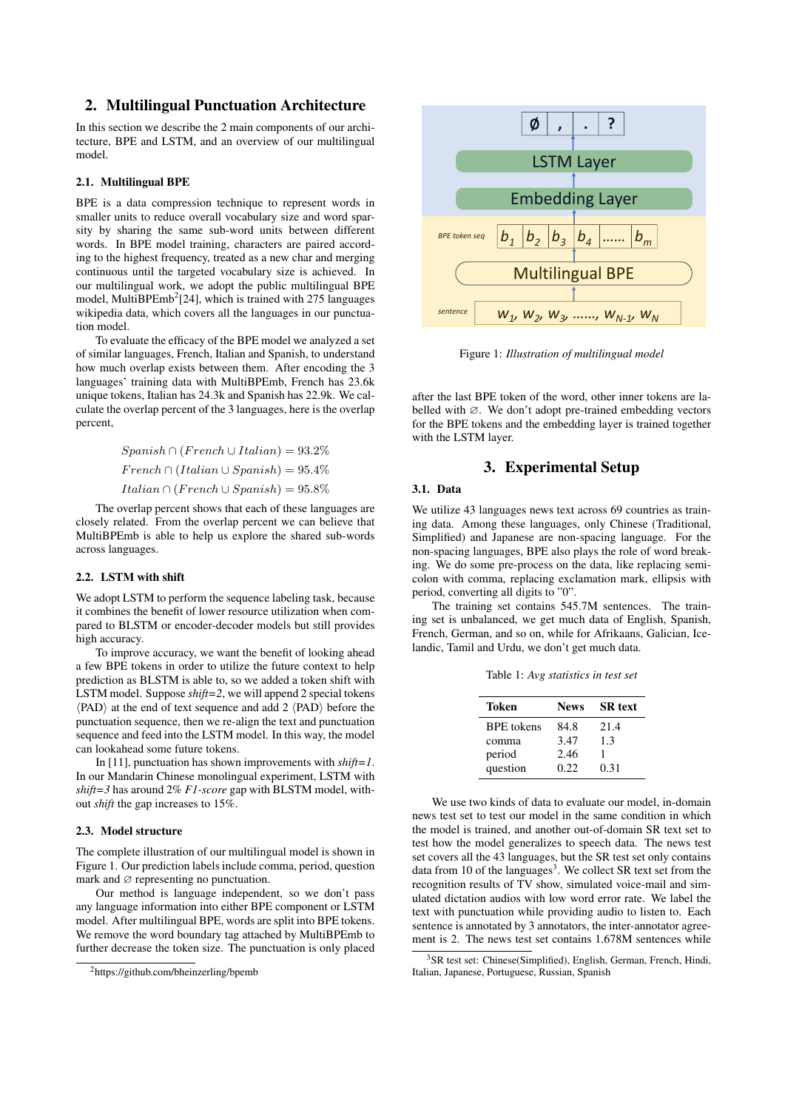## 2. Multilingual Punctuation Architecture

In this section we describe the 2 main components of our architecture, BPE and LSTM, and an overview of our multilingual model.

### 2.1. Multilingual BPE

BPE is a data compression technique to represent words in smaller units to reduce overall vocabulary size and word sparsity by sharing the same sub-word units between different words. In BPE model training, characters are paired according to the highest frequency, treated as a new char and merging continuous until the targeted vocabulary size is achieved. In our multilingual work, we adopt the public multilingual BPE model, MultiBPEmb<sup>2</sup>[24], which is trained with 275 languages wikipedia data, which covers all the languages in our punctuation model.

To evaluate the efficacy of the BPE model we analyzed a set of similar languages, French, Italian and Spanish, to understand how much overlap exists between them. After encoding the 3 languages' training data with MultiBPEmb, French has 23.6k unique tokens, Italian has 24.3k and Spanish has 22.9k. We calculate the overlap percent of the 3 languages, here is the overlap percent,

> $Spanish \cap (French \cup Italian) = 93.2\%$  $French \cap (Italian \cup Spanish) = 95.4\%$  $Italian \cap (French \cup Spanish) = 95.8\%$

The overlap percent shows that each of these languages are closely related. From the overlap percent we can believe that MultiBPEmb is able to help us explore the shared sub-words across languages.

### 2.2. LSTM with shift

We adopt LSTM to perform the sequence labeling task, because it combines the benefit of lower resource utilization when compared to BLSTM or encoder-decoder models but still provides high accuracy.

To improve accuracy, we want the benefit of looking ahead a few BPE tokens in order to utilize the future context to help prediction as BLSTM is able to, so we added a token shift with LSTM model. Suppose *shift=2*, we will append 2 special tokens  $\langle$ PAD $\rangle$  at the end of text sequence and add 2  $\langle$ PAD $\rangle$  before the punctuation sequence, then we re-align the text and punctuation sequence and feed into the LSTM model. In this way, the model can lookahead some future tokens.

In [11], punctuation has shown improvements with *shift=1*. In our Mandarin Chinese monolingual experiment, LSTM with *shift=3* has around 2% *F1-score* gap with BLSTM model, without *shift* the gap increases to 15%.

#### 2.3. Model structure

The complete illustration of our multilingual model is shown in Figure 1. Our prediction labels include comma, period, question mark and  $\varnothing$  representing no punctuation.

Our method is language independent, so we don't pass any language information into either BPE component or LSTM model. After multilingual BPE, words are split into BPE tokens. We remove the word boundary tag attached by MultiBPEmb to further decrease the token size. The punctuation is only placed



Figure 1: *Illustration of multilingual model*

after the last BPE token of the word, other inner tokens are labelled with ∅. We don't adopt pre-trained embedding vectors for the BPE tokens and the embedding layer is trained together with the LSTM layer.

## 3. Experimental Setup

## 3.1. Data

We utilize 43 languages news text across 69 countries as training data. Among these languages, only Chinese (Traditional, Simplified) and Japanese are non-spacing language. For the non-spacing languages, BPE also plays the role of word breaking. We do some pre-process on the data, like replacing semicolon with comma, replacing exclamation mark, ellipsis with period, converting all digits to "0".

The training set contains 545.7M sentences. The training set is unbalanced, we get much data of English, Spanish, French, German, and so on, while for Afrikaans, Galician, Icelandic, Tamil and Urdu, we don't get much data.

Table 1: *Avg statistics in test set*

| <b>Token</b>      | <b>News</b> | <b>SR</b> text |
|-------------------|-------------|----------------|
| <b>BPE</b> tokens | 84.8        | 21.4           |
| comma             | 3.47        | 1.3            |
| period            | 2.46        |                |
| question          | 0.22.       | 0.31           |

We use two kinds of data to evaluate our model, in-domain news test set to test our model in the same condition in which the model is trained, and another out-of-domain SR text set to test how the model generalizes to speech data. The news test set covers all the 43 languages, but the SR test set only contains data from 10 of the languages<sup>3</sup>. We collect SR text set from the recognition results of TV show, simulated voice-mail and simulated dictation audios with low word error rate. We label the text with punctuation while providing audio to listen to. Each sentence is annotated by 3 annotators, the inter-annotator agreement is 2. The news test set contains 1.678M sentences while

<sup>2</sup>https://github.com/bheinzerling/bpemb

<sup>&</sup>lt;sup>3</sup> SR test set: Chinese(Simplified), English, German, French, Hindi, Italian, Japanese, Portuguese, Russian, Spanish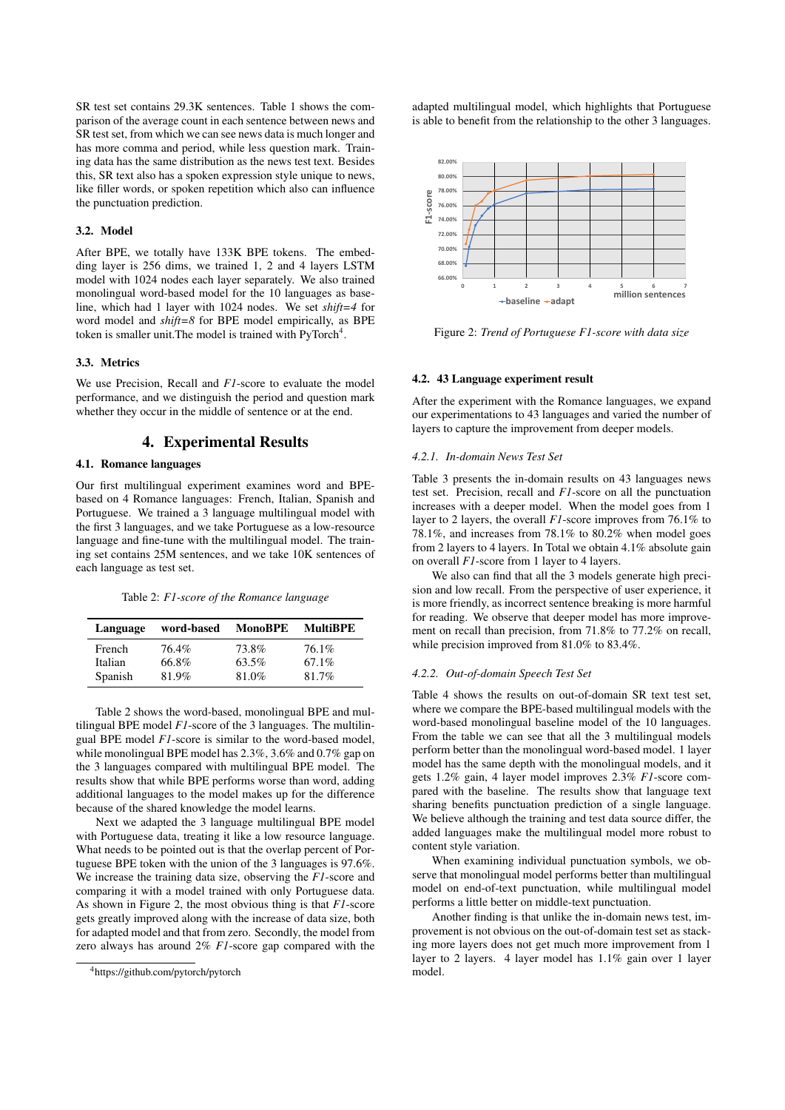SR test set contains 29.3K sentences. Table 1 shows the comparison of the average count in each sentence between news and SR test set, from which we can see news data is much longer and has more comma and period, while less question mark. Training data has the same distribution as the news test text. Besides this, SR text also has a spoken expression style unique to news, like filler words, or spoken repetition which also can influence the punctuation prediction.

#### 3.2. Model

After BPE, we totally have 133K BPE tokens. The embedding layer is 256 dims, we trained 1, 2 and 4 layers LSTM model with 1024 nodes each layer separately. We also trained monolingual word-based model for the 10 languages as baseline, which had 1 layer with 1024 nodes. We set *shift=4* for word model and *shift=8* for BPE model empirically, as BPE token is smaller unit. The model is trained with PyTorch<sup>4</sup>.

#### 3.3. Metrics

We use Precision, Recall and *F1*-score to evaluate the model performance, and we distinguish the period and question mark whether they occur in the middle of sentence or at the end.

## 4. Experimental Results

#### 4.1. Romance languages

Our first multilingual experiment examines word and BPEbased on 4 Romance languages: French, Italian, Spanish and Portuguese. We trained a 3 language multilingual model with the first 3 languages, and we take Portuguese as a low-resource language and fine-tune with the multilingual model. The training set contains 25M sentences, and we take 10K sentences of each language as test set.

Table 2: *F1-score of the Romance language*

| Language | word-based | MonoBPE | <b>MultiBPE</b> |
|----------|------------|---------|-----------------|
| French   | 76.4%      | 73.8%   | 76.1%           |
| Italian  | 66.8%      | 63.5%   | 67.1%           |
| Spanish  | 81.9%      | 81.0%   | 81.7%           |

Table 2 shows the word-based, monolingual BPE and multilingual BPE model *F1*-score of the 3 languages. The multilingual BPE model *F1*-score is similar to the word-based model, while monolingual BPE model has 2.3%, 3.6% and 0.7% gap on the 3 languages compared with multilingual BPE model. The results show that while BPE performs worse than word, adding additional languages to the model makes up for the difference because of the shared knowledge the model learns.

Next we adapted the 3 language multilingual BPE model with Portuguese data, treating it like a low resource language. What needs to be pointed out is that the overlap percent of Portuguese BPE token with the union of the 3 languages is 97.6%. We increase the training data size, observing the *F1*-score and comparing it with a model trained with only Portuguese data. As shown in Figure 2, the most obvious thing is that *F1*-score gets greatly improved along with the increase of data size, both for adapted model and that from zero. Secondly, the model from zero always has around 2% *F1*-score gap compared with the

adapted multilingual model, which highlights that Portuguese is able to benefit from the relationship to the other 3 languages.



Figure 2: *Trend of Portuguese F1-score with data size*

#### 4.2. 43 Language experiment result

After the experiment with the Romance languages, we expand our experimentations to 43 languages and varied the number of layers to capture the improvement from deeper models.

#### *4.2.1. In-domain News Test Set*

Table 3 presents the in-domain results on 43 languages news test set. Precision, recall and *F1*-score on all the punctuation increases with a deeper model. When the model goes from 1 layer to 2 layers, the overall *F1*-score improves from 76.1% to 78.1%, and increases from 78.1% to 80.2% when model goes from 2 layers to 4 layers. In Total we obtain 4.1% absolute gain on overall *F1*-score from 1 layer to 4 layers.

We also can find that all the 3 models generate high precision and low recall. From the perspective of user experience, it is more friendly, as incorrect sentence breaking is more harmful for reading. We observe that deeper model has more improvement on recall than precision, from 71.8% to 77.2% on recall, while precision improved from 81.0% to 83.4%.

### *4.2.2. Out-of-domain Speech Test Set*

Table 4 shows the results on out-of-domain SR text test set, where we compare the BPE-based multilingual models with the word-based monolingual baseline model of the 10 languages. From the table we can see that all the 3 multilingual models perform better than the monolingual word-based model. 1 layer model has the same depth with the monolingual models, and it gets 1.2% gain, 4 layer model improves 2.3% *F1*-score compared with the baseline. The results show that language text sharing benefits punctuation prediction of a single language. We believe although the training and test data source differ, the added languages make the multilingual model more robust to content style variation.

When examining individual punctuation symbols, we observe that monolingual model performs better than multilingual model on end-of-text punctuation, while multilingual model performs a little better on middle-text punctuation.

Another finding is that unlike the in-domain news test, improvement is not obvious on the out-of-domain test set as stacking more layers does not get much more improvement from 1 layer to 2 layers. 4 layer model has 1.1% gain over 1 layer model.

<sup>4</sup>https://github.com/pytorch/pytorch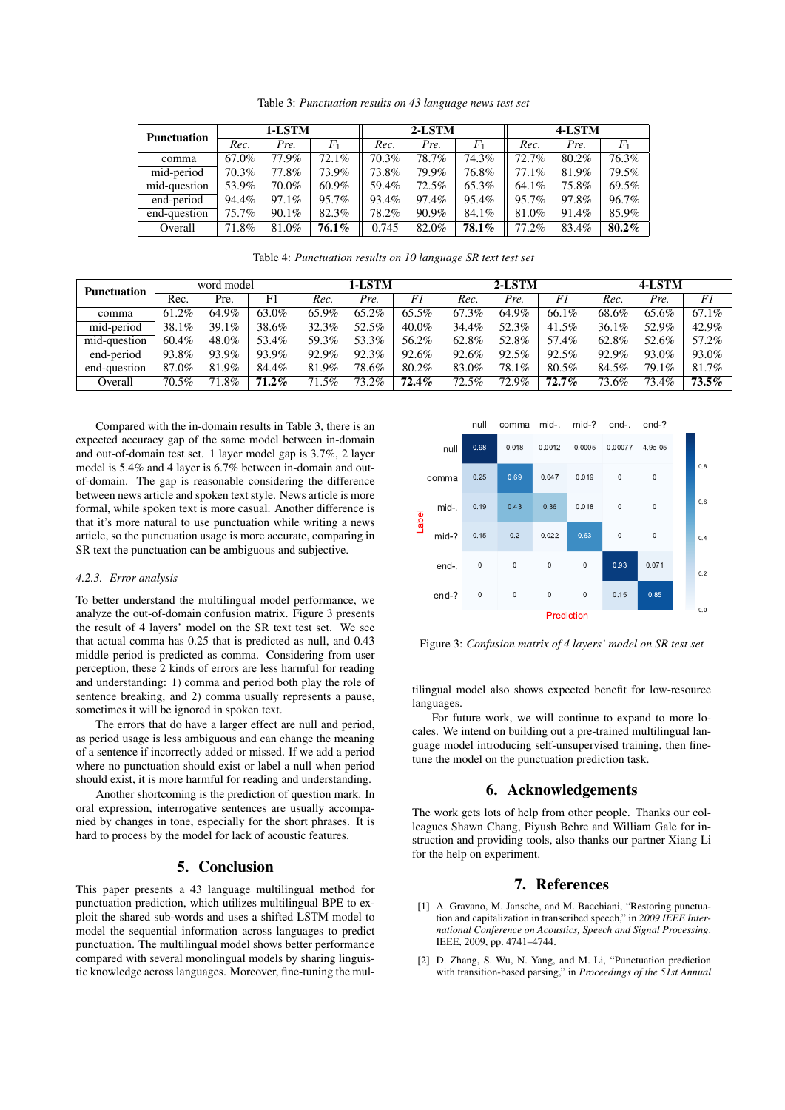Table 3: *Punctuation results on 43 language news test set*

| <b>Punctuation</b> |       | 1-LSTM |                |       | 2-LSTM |         | 4-LSTM |       |          |  |
|--------------------|-------|--------|----------------|-------|--------|---------|--------|-------|----------|--|
|                    | Rec.  | Pre.   | $\mathit{F}_1$ | Rec.  | Pre.   | $F_{1}$ | Rec.   | Pre.  | $F_{1}$  |  |
| comma              | 67.0% | 77.9%  | 72.1%          | 70.3% | 78.7%  | 74.3%   | 72.7%  | 80.2% | 76.3%    |  |
| mid-period         | 70.3% | 77.8%  | 73.9%          | 73.8% | 79.9%  | 76.8%   | 77.1%  | 81.9% | 79.5%    |  |
| mid-question       | 53.9% | 70.0%  | 60.9%          | 59.4% | 72.5%  | 65.3%   | 64.1%  | 75.8% | 69.5%    |  |
| end-period         | 94.4% | 97.1%  | 95.7%          | 93.4% | 97.4%  | 95.4%   | 95.7%  | 97.8% | 96.7%    |  |
| end-question       | 75.7% | 90.1%  | 82.3%          | 78.2% | 90.9%  | 84.1%   | 81.0%  | 91.4% | 85.9%    |  |
| Overall            | 71.8% | 81.0%  | $76.1\%$       | 0.745 | 82.0%  | 78.1%   | 77.2%  | 83.4% | $80.2\%$ |  |

Table 4: *Punctuation results on 10 language SR text test set*

| <b>Punctuation</b> | word model |       |          | 1-LSTM |       |          | 2-LSTM   |       |          | 4-LSTM   |       |          |
|--------------------|------------|-------|----------|--------|-------|----------|----------|-------|----------|----------|-------|----------|
|                    | Rec.       | Pre.  | F1       | Rec.   | Pre.  | F1       | Rec.     | Pre.  | F1       | Rec.     | Pre.  | F1       |
| comma              | 61.2%      | 64.9% | 63.0%    | 65.9%  | 65.2% | 65.5%    | 67.3%    | 64.9% | 66.1%    | 68.6%    | 65.6% | 67.1%    |
| mid-period         | 38.1%      | 39.1% | 38.6%    | 32.3%  | 52.5% | 40.0%    | 34.4%    | 52.3% | 41.5%    | $36.1\%$ | 52.9% | 42.9%    |
| mid-question       | 60.4%      | 48.0% | 53.4%    | 59.3%  | 53.3% | 56.2%    | 62.8%    | 52.8% | 57.4%    | 62.8%    | 52.6% | 57.2%    |
| end-period         | 93.8%      | 93.9% | 93.9%    | 92.9%  | 92.3% | 92.6%    | 92.6%    | 92.5% | 92.5%    | 92.9%    | 93.0% | 93.0%    |
| end-question       | 87.0%      | 81.9% | 84.4%    | 81.9%  | 78.6% | 80.2%    | 83.0%    | 78.1% | 80.5%    | 84.5%    | 79.1% | 81.7%    |
| Overall            | 70.5%      | 71.8% | $71.2\%$ | 71.5%  | 73.2% | $72.4\%$ | $72.5\%$ | 72.9% | $72.7\%$ | 73.6%    | 73.4% | $73.5\%$ |

Compared with the in-domain results in Table 3, there is an expected accuracy gap of the same model between in-domain and out-of-domain test set. 1 layer model gap is 3.7%, 2 layer model is 5.4% and 4 layer is 6.7% between in-domain and outof-domain. The gap is reasonable considering the difference between news article and spoken text style. News article is more formal, while spoken text is more casual. Another difference is that it's more natural to use punctuation while writing a news article, so the punctuation usage is more accurate, comparing in SR text the punctuation can be ambiguous and subjective.

#### *4.2.3. Error analysis*

To better understand the multilingual model performance, we analyze the out-of-domain confusion matrix. Figure 3 presents the result of 4 layers' model on the SR text test set. We see that actual comma has 0.25 that is predicted as null, and 0.43 middle period is predicted as comma. Considering from user perception, these 2 kinds of errors are less harmful for reading and understanding: 1) comma and period both play the role of sentence breaking, and 2) comma usually represents a pause, sometimes it will be ignored in spoken text.

The errors that do have a larger effect are null and period, as period usage is less ambiguous and can change the meaning of a sentence if incorrectly added or missed. If we add a period where no punctuation should exist or label a null when period should exist, it is more harmful for reading and understanding.

Another shortcoming is the prediction of question mark. In oral expression, interrogative sentences are usually accompanied by changes in tone, especially for the short phrases. It is hard to process by the model for lack of acoustic features.

## 5. Conclusion

This paper presents a 43 language multilingual method for punctuation prediction, which utilizes multilingual BPE to exploit the shared sub-words and uses a shifted LSTM model to model the sequential information across languages to predict punctuation. The multilingual model shows better performance compared with several monolingual models by sharing linguistic knowledge across languages. Moreover, fine-tuning the mul-



Figure 3: *Confusion matrix of 4 layers' model on SR test set*

tilingual model also shows expected benefit for low-resource languages.

For future work, we will continue to expand to more locales. We intend on building out a pre-trained multilingual language model introducing self-unsupervised training, then finetune the model on the punctuation prediction task.

## 6. Acknowledgements

The work gets lots of help from other people. Thanks our colleagues Shawn Chang, Piyush Behre and William Gale for instruction and providing tools, also thanks our partner Xiang Li for the help on experiment.

## 7. References

- [1] A. Gravano, M. Jansche, and M. Bacchiani, "Restoring punctuation and capitalization in transcribed speech," in *2009 IEEE International Conference on Acoustics, Speech and Signal Processing*. IEEE, 2009, pp. 4741–4744.
- [2] D. Zhang, S. Wu, N. Yang, and M. Li, "Punctuation prediction with transition-based parsing," in *Proceedings of the 51st Annual*